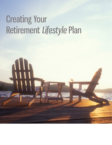# Creating Your Retirement *Lifestyle* Plan

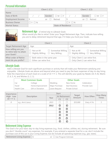## Personal Information

|                          | Client $1$ (C1)           |  |    |                                 | Client 2 (C2)   |  |        |                   |
|--------------------------|---------------------------|--|----|---------------------------------|-----------------|--|--------|-------------------|
| Name                     |                           |  |    |                                 |                 |  |        |                   |
| Date of Birth            |                           |  |    | Gender $\Box$ M $\Box$ F $\Box$ | $\sqrt{2}$      |  | Gender | $\Box$ M $\Box$ F |
| <b>Employment Income</b> |                           |  | or | Retired                         |                 |  | or 11  | Retired           |
| <b>Business Owner</b>    | $\Box$ Y $\Box$ N         |  |    |                                 | $\Box Y \Box N$ |  |        |                   |
| <b>Marital Status</b>    | <b>State of Residence</b> |  |    |                                 |                 |  |        |                   |



#### Retirement Age *- if retired skip to Lifestyle Goals*

When would you like to retire? Enter your Target Retirement Age. Then, indicate how willing you are to delay retirement beyond that age, if it helps you fund your Goals.

|                                                                 |                                                                         | Client 1                | Client 2 |                                                                                  |                                                                        |  |
|-----------------------------------------------------------------|-------------------------------------------------------------------------|-------------------------|----------|----------------------------------------------------------------------------------|------------------------------------------------------------------------|--|
| <b>Target Retirement Age</b>                                    | Age:                                                                    |                         |          | Age:                                                                             |                                                                        |  |
| How willing are you<br>to retire later to attain<br>your Goals? | $\Box$ Not at All<br>$\Box$ Slightly Willing $\Box$ Very Willing        | $\Box$ Somewhat Willing |          | $\Box$ Not at All                                                                | $\Box$ Somewhat Willing<br>$\Box$ Slightly Willing $\Box$ Very Willing |  |
| <b>What order of Retire-</b><br>ment do you prefer?             | $\Box$ Both retire in the same year.<br>$\Box$ Either can retire first. |                         |          | $\Box$ Only Client 1 can retire first.<br>$\Box$ Only Client 2 can retire first. |                                                                        |  |

### Lifestyle Goals

Add a Lifestyle Goal for each significant purchase or activity that will make your Retirement satisfying and enjoyable. Lifestyle Goals are above and beyond what you need to pay the basic expenses of day-to-day living. Rate the importance of each Goal on a scale of 10  $\leftrightarrow$  1. This will identify your goals by Needs (10, 9, 8), Wants (7, 6, 5, 4), and Wishes (3, 2, 1).

|             | <b>Most Common Goals</b> |                | <b>Other Goals</b>    |              |
|-------------|--------------------------|----------------|-----------------------|--------------|
| Car         | College                  | Wedding        | New Home              | Celebration  |
| Travel      | Home Improvement         | Major Purchase | <b>Start Business</b> | Provide Care |
| Health Care | Gift or Donation         | Leave Bequest  | Private School        |              |

| Importance<br>High Low | Description       | Year | <b>Start</b><br>At Retirement |                | <b>Target</b><br>Amount | How Often   | How Many<br><b>Times</b> |
|------------------------|-------------------|------|-------------------------------|----------------|-------------------------|-------------|--------------------------|
| $10 \leftrightarrow 1$ |                   |      | C1                            | C <sub>2</sub> |                         |             |                          |
| 8                      | e.g., Ann's Lexus | 2015 |                               |                | \$35,000                | Every 4 Yrs | 5                        |
|                        |                   | 2012 | $\circ$                       | $\circ$        |                         |             |                          |
|                        |                   |      | $\overline{O}$                | $\circ$        |                         |             |                          |
|                        |                   |      | $\overline{\mathsf{O}}$       | O              |                         |             |                          |
|                        |                   |      | $\circ$                       | O              |                         |             |                          |
|                        |                   |      | O                             | $\circ$        |                         |             |                          |
|                        |                   |      | $\circ$                       | $\circ$        |                         |             |                          |

## Retirement Living Expense

This Goal is for your basic day-to-day living expenses (e.g., food, clothes, utilities, etc.) during retirement. Be sure you don't "double count" any expenses. For example, if you entered a separate Goal for a car, don't include the purchase cost of this car in your Living Expense, but do include all operating expenses (e.g., gas, taxes).

**Retirement Living Expense** <del>\$</del> 0 0 0r □ Use Program Estimate